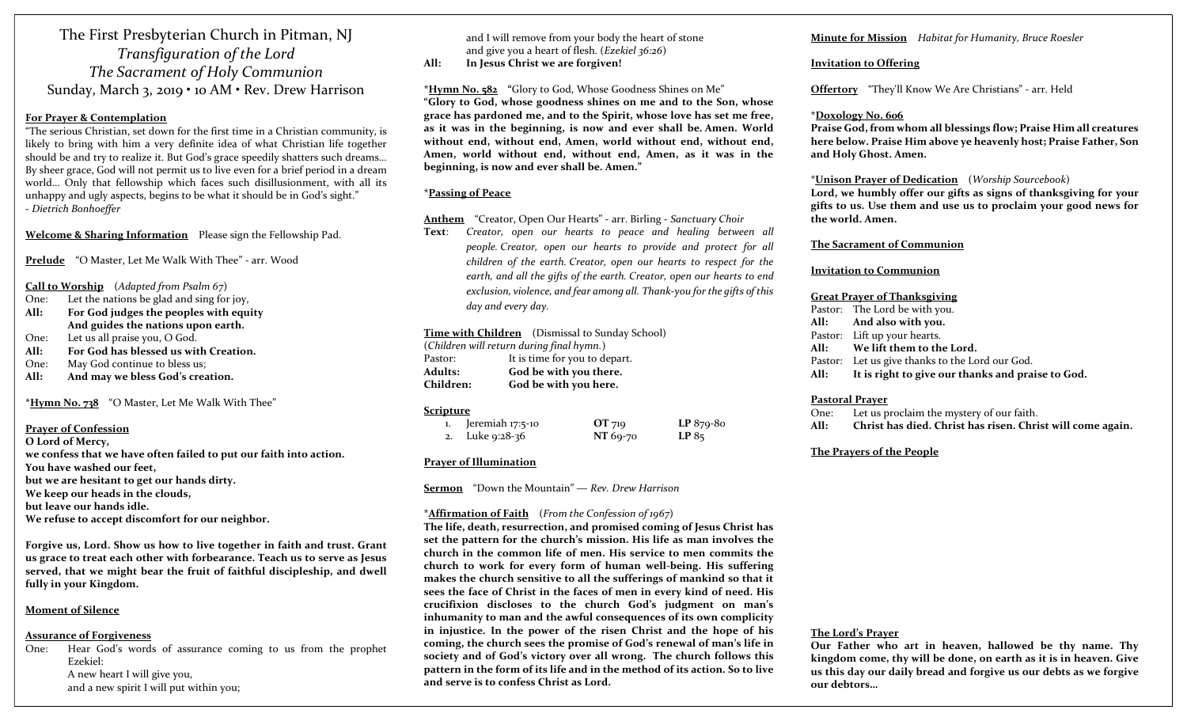The First Presbyterian Church in Pitman, NJ Transfiguration of the Lord The Sacrament of Holy Communion Sunday, March 3, 2019 • 10 AM • Rev. Drew Harrison

#### For Prayer & Contemplation

"The serious Christian, set down for the first time in a Christian community, is likely to bring with him a very definite idea of what Christian life together should be and try to realize it. But God's grace speedily shatters such dreams… By sheer grace, God will not permit us to live even for a brief period in a dream world… Only that fellowship which faces such disillusionment, with all its unhappy and ugly aspects, begins to be what it should be in God's sight." - Dietrich Bonhoeffer

Welcome & Sharing Information Please sign the Fellowship Pad.

Prelude "O Master, Let Me Walk With Thee" - arr. Wood

#### Call to Worship (Adapted from Psalm 67)

- One: Let the nations be glad and sing for joy,
- All: For God judges the peoples with equity And guides the nations upon earth.
- One: Let us all praise you, O God.
- All: For God has blessed us with Creation.
- One: May God continue to bless us;
- All: And may we bless God's creation.

\*Hymn No. 738 "O Master, Let Me Walk With Thee"

#### Prayer of Confession

O Lord of Mercy, we confess that we have often failed to put our faith into action. You have washed our feet, but we are hesitant to get our hands dirty. We keep our heads in the clouds, but leave our hands idle. We refuse to accept discomfort for our neighbor.

Forgive us, Lord. Show us how to live together in faith and trust. Grant us grace to treat each other with forbearance. Teach us to serve as Jesus served, that we might bear the fruit of faithful discipleship, and dwell fully in your Kingdom.

#### Moment of Silence

#### Assurance of Forgiveness

One: Hear God's words of assurance coming to us from the prophet Ezekiel: A new heart I will give you, and a new spirit I will put within you;

and I will remove from your body the heart of stone and give you a heart of flesh. (Ezekiel 36:26)

All: In Jesus Christ we are forgiven!

\*Hymn No. 582 "Glory to God, Whose Goodness Shines on Me" "Glory to God, whose goodness shines on me and to the Son, whose grace has pardoned me, and to the Spirit, whose love has set me free, as it was in the beginning, is now and ever shall be. Amen. World without end, without end, Amen, world without end, without end, Amen, world without end, without end, Amen, as it was in the beginning, is now and ever shall be. Amen."

#### \*Passing of Peace

Anthem "Creator, Open Our Hearts" - arr. Birling - Sanctuary Choir

Text: Creator, open our hearts to peace and healing between all people. Creator, open our hearts to provide and protect for all children of the earth. Creator, open our hearts to respect for the earth, and all the gifts of the earth. Creator, open our hearts to end exclusion, violence, and fear among all. Thank-you for the gifts of this day and every day.

## Time with Children (Dismissal to Sunday School)

| (Children will return during final hymn.) |                               |  |
|-------------------------------------------|-------------------------------|--|
| Pastor:                                   | It is time for you to depart. |  |
| Adults:                                   | God be with you there.        |  |
| Children:                                 | God be with you here.         |  |

#### Scripture

| 1. Jeremiah 17:5-10 | OT 719   | $LP 879-80$ |
|---------------------|----------|-------------|
| 2. Luke 9:28-36     | NT 69-70 | LP85        |

#### Prayer of Illumination

**Sermon** "Down the Mountain" — Rev. Drew Harrison

## \*Affirmation of Faith (From the Confession of 1967)

The life, death, resurrection, and promised coming of Jesus Christ has set the pattern for the church's mission. His life as man involves the church in the common life of men. His service to men commits the church to work for every form of human well-being. His suffering makes the church sensitive to all the sufferings of mankind so that it sees the face of Christ in the faces of men in every kind of need. His crucifixion discloses to the church God's judgment on man's inhumanity to man and the awful consequences of its own complicity in injustice. In the power of the risen Christ and the hope of his coming, the church sees the promise of God's renewal of man's life in society and of God's victory over all wrong. The church follows this pattern in the form of its life and in the method of its action. So to live and serve is to confess Christ as Lord.

#### Minute for Mission Habitat for Humanity, Bruce Roesler

#### Invitation to Offering

Offertory "They'll Know We Are Christians" - arr. Held

#### \*Doxology No. 606

Praise God, from whom all blessings flow; Praise Him all creatures here below. Praise Him above ye heavenly host; Praise Father, Son and Holy Ghost. Amen.

#### \*Unison Prayer of Dedication (Worship Sourcebook)

Lord, we humbly offer our gifts as signs of thanksgiving for your gifts to us. Use them and use us to proclaim your good news for the world. Amen.

#### The Sacrament of Communion

#### Invitation to Communion

#### Great Prayer of Thanksgiving

| Pastor: The Lord be with you.                          |
|--------------------------------------------------------|
| All: And also with you.                                |
| Pastor: Lift up your hearts.                           |
| All: We lift them to the Lord.                         |
| Pastor: Let us give thanks to the Lord our God.        |
| All: It is right to give our thanks and praise to God. |

#### Pastoral Prayer

One: Let us proclaim the mystery of our faith. All: Christ has died. Christ has risen. Christ will come again.

#### The Prayers of the People

## The Lord's Prayer

Our Father who art in heaven, hallowed be thy name. Thy kingdom come, thy will be done, on earth as it is in heaven. Give us this day our daily bread and forgive us our debts as we forgive our debtors…